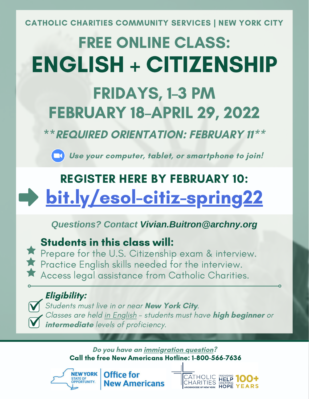CATHOLIC CHARITIES COMMUNITY SERVICES | NEW YORK CITY

# FREE ONLINE CLASS: ENGLISH + CITIZENSHIP

## FRIDAYS, 1–3 PM FEBRUARY 18–APRIL 29, 2022

\*\***REQUIRED ORIENTATION: FEBRUARY 11\*\***

**Use your computer, tablet, or smartphone to join!**

# [bit.ly/esol-citiz-spring22](https://bit.ly/esol-citiz-spring22) REGISTER HERE BY FEBRUARY 10:

### *Questions? Contact Vivian.Buitron@archny.org*

## Students in this class will:

**Prepare for the U.S. Citizenship exam & interview. Practice English skills needed for the interview.** Access legal assistance from Catholic Charities.

### **Eligibility:**

Students must live in or near **New York City**. Classes are held in English - students must have **high beginner** or **intermediate** levels of proficiency.

> **Do you have an immigration question?** Call the free New Americans Hotline: 1-800-566-7636



Office for **New Americans**